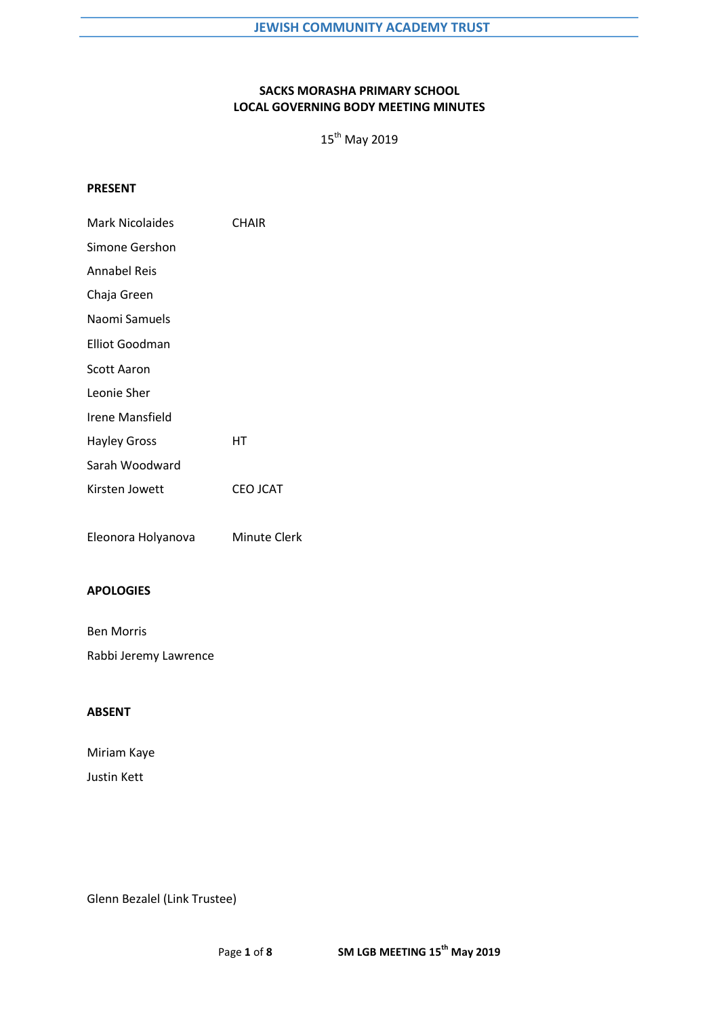# **SACKS MORASHA PRIMARY SCHOOL LOCAL GOVERNING BODY MEETING MINUTES**

 $15^{th}$  May 2019

### **PRESENT**

| <b>CHAIR</b>    |
|-----------------|
|                 |
|                 |
|                 |
|                 |
|                 |
|                 |
|                 |
|                 |
| HТ              |
|                 |
| <b>CEO JCAT</b> |
|                 |
| Minute Clerk    |
|                 |

# **APOLOGIES**

Ben Morris Rabbi Jeremy Lawrence

## **ABSENT**

Miriam Kaye Justin Kett

Glenn Bezalel (Link Trustee)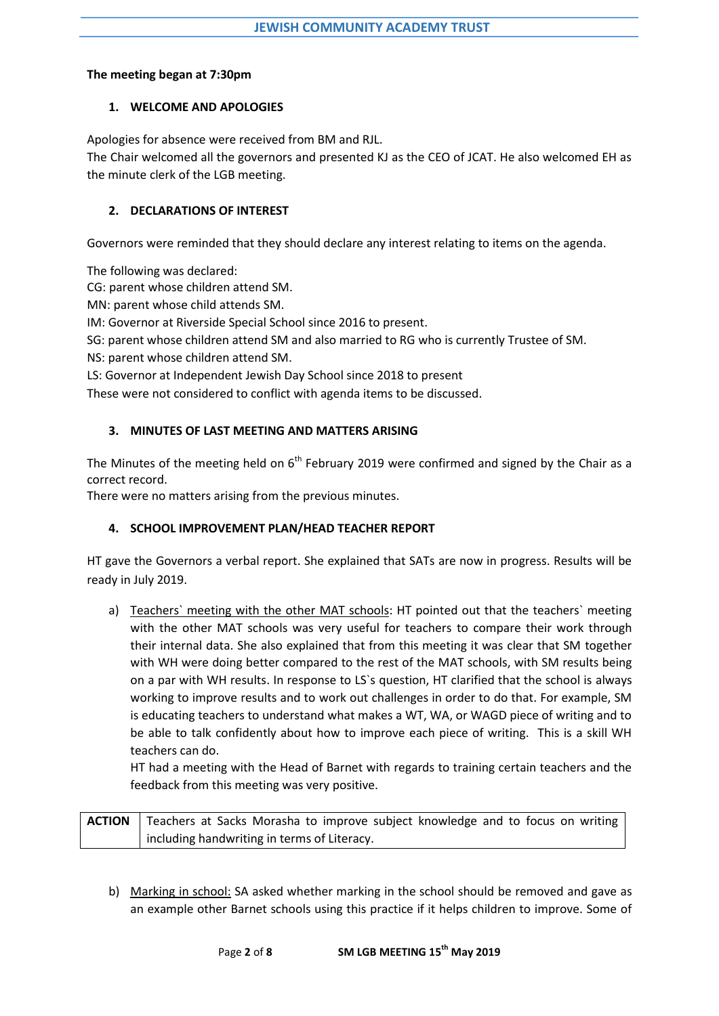## **The meeting began at 7:30pm**

## **1. WELCOME AND APOLOGIES**

Apologies for absence were received from BM and RJL.

The Chair welcomed all the governors and presented KJ as the CEO of JCAT. He also welcomed EH as the minute clerk of the LGB meeting.

## **2. DECLARATIONS OF INTEREST**

Governors were reminded that they should declare any interest relating to items on the agenda.

The following was declared:

CG: parent whose children attend SM.

MN: parent whose child attends SM.

IM: Governor at Riverside Special School since 2016 to present.

SG: parent whose children attend SM and also married to RG who is currently Trustee of SM.

NS: parent whose children attend SM.

LS: Governor at Independent Jewish Day School since 2018 to present

These were not considered to conflict with agenda items to be discussed.

## **3. MINUTES OF LAST MEETING AND MATTERS ARISING**

The Minutes of the meeting held on  $6<sup>th</sup>$  February 2019 were confirmed and signed by the Chair as a correct record.

There were no matters arising from the previous minutes.

# **4. SCHOOL IMPROVEMENT PLAN/HEAD TEACHER REPORT**

HT gave the Governors a verbal report. She explained that SATs are now in progress. Results will be ready in July 2019.

a) Teachers` meeting with the other MAT schools: HT pointed out that the teachers` meeting with the other MAT schools was very useful for teachers to compare their work through their internal data. She also explained that from this meeting it was clear that SM together with WH were doing better compared to the rest of the MAT schools, with SM results being on a par with WH results. In response to LS`s question, HT clarified that the school is always working to improve results and to work out challenges in order to do that. For example, SM is educating teachers to understand what makes a WT, WA, or WAGD piece of writing and to be able to talk confidently about how to improve each piece of writing. This is a skill WH teachers can do.

HT had a meeting with the Head of Barnet with regards to training certain teachers and the feedback from this meeting was very positive.

**ACTION** | Teachers at Sacks Morasha to improve subject knowledge and to focus on writing including handwriting in terms of Literacy.

b) Marking in school: SA asked whether marking in the school should be removed and gave as an example other Barnet schools using this practice if it helps children to improve. Some of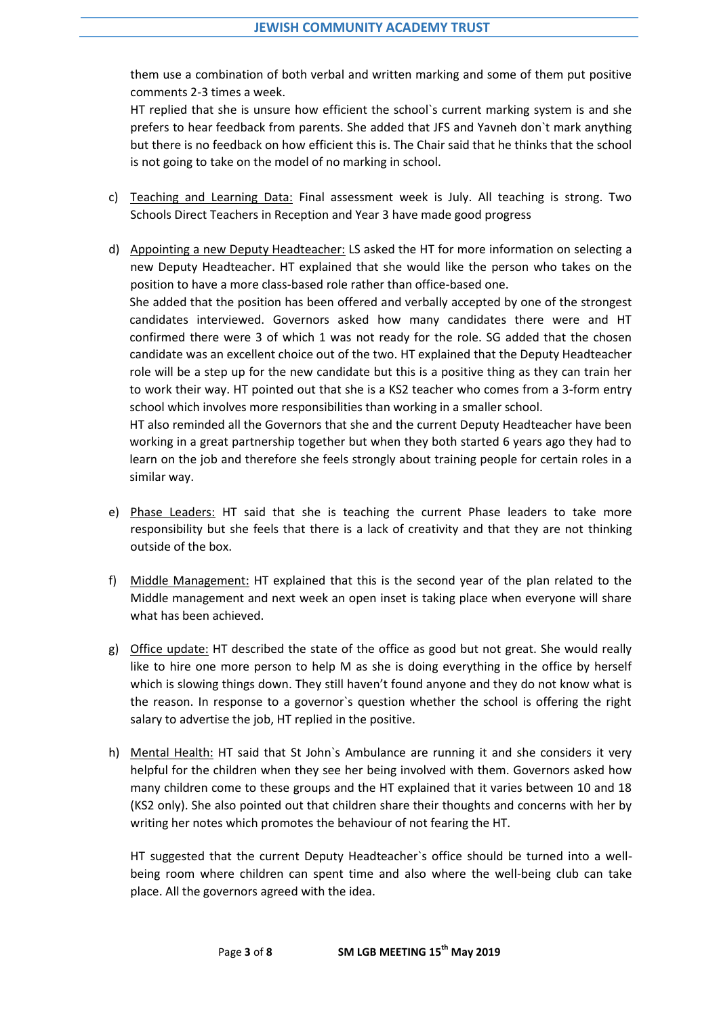them use a combination of both verbal and written marking and some of them put positive comments 2-3 times a week.

HT replied that she is unsure how efficient the school`s current marking system is and she prefers to hear feedback from parents. She added that JFS and Yavneh don`t mark anything but there is no feedback on how efficient this is. The Chair said that he thinks that the school is not going to take on the model of no marking in school.

- c) Teaching and Learning Data: Final assessment week is July. All teaching is strong. Two Schools Direct Teachers in Reception and Year 3 have made good progress
- d) Appointing a new Deputy Headteacher: LS asked the HT for more information on selecting a new Deputy Headteacher. HT explained that she would like the person who takes on the position to have a more class-based role rather than office-based one. She added that the position has been offered and verbally accepted by one of the strongest candidates interviewed. Governors asked how many candidates there were and HT confirmed there were 3 of which 1 was not ready for the role. SG added that the chosen candidate was an excellent choice out of the two. HT explained that the Deputy Headteacher role will be a step up for the new candidate but this is a positive thing as they can train her to work their way. HT pointed out that she is a KS2 teacher who comes from a 3-form entry school which involves more responsibilities than working in a smaller school. HT also reminded all the Governors that she and the current Deputy Headteacher have been

working in a great partnership together but when they both started 6 years ago they had to learn on the job and therefore she feels strongly about training people for certain roles in a similar way.

- e) Phase Leaders: HT said that she is teaching the current Phase leaders to take more responsibility but she feels that there is a lack of creativity and that they are not thinking outside of the box.
- f) Middle Management: HT explained that this is the second year of the plan related to the Middle management and next week an open inset is taking place when everyone will share what has been achieved.
- g) Office update: HT described the state of the office as good but not great. She would really like to hire one more person to help M as she is doing everything in the office by herself which is slowing things down. They still haven't found anyone and they do not know what is the reason. In response to a governor`s question whether the school is offering the right salary to advertise the job, HT replied in the positive.
- h) Mental Health: HT said that St John`s Ambulance are running it and she considers it very helpful for the children when they see her being involved with them. Governors asked how many children come to these groups and the HT explained that it varies between 10 and 18 (KS2 only). She also pointed out that children share their thoughts and concerns with her by writing her notes which promotes the behaviour of not fearing the HT.

HT suggested that the current Deputy Headteacher`s office should be turned into a wellbeing room where children can spent time and also where the well-being club can take place. All the governors agreed with the idea.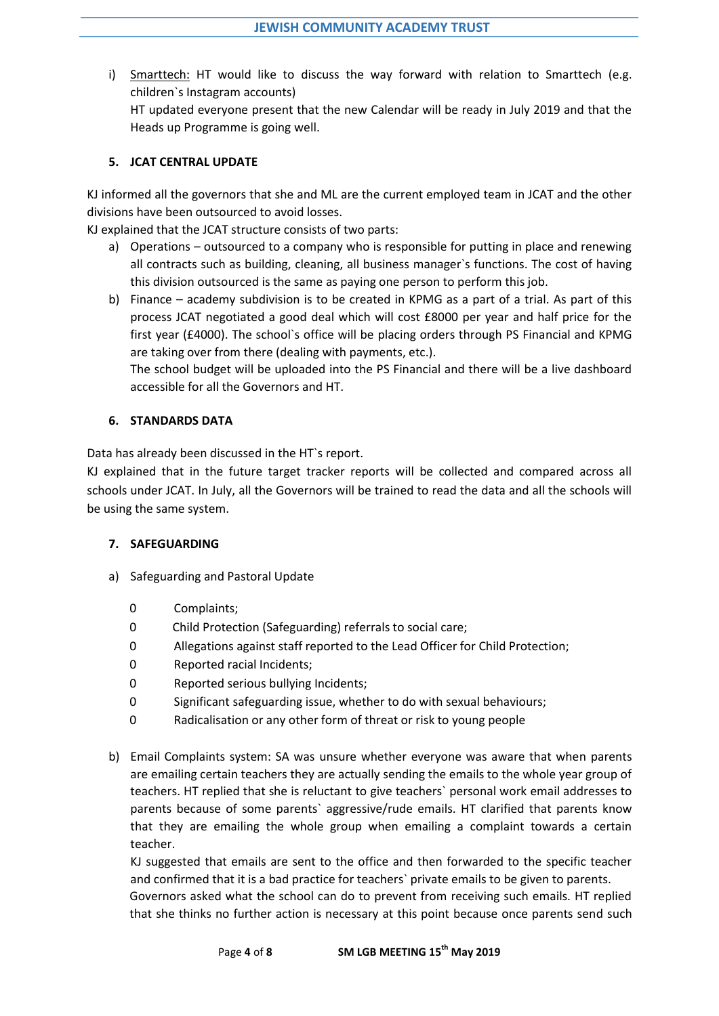i) Smarttech: HT would like to discuss the way forward with relation to Smarttech (e.g. children`s Instagram accounts) HT updated everyone present that the new Calendar will be ready in July 2019 and that the Heads up Programme is going well.

## **5. JCAT CENTRAL UPDATE**

KJ informed all the governors that she and ML are the current employed team in JCAT and the other divisions have been outsourced to avoid losses.

KJ explained that the JCAT structure consists of two parts:

- a) Operations outsourced to a company who is responsible for putting in place and renewing all contracts such as building, cleaning, all business manager`s functions. The cost of having this division outsourced is the same as paying one person to perform this job.
- b) Finance academy subdivision is to be created in KPMG as a part of a trial. As part of this process JCAT negotiated a good deal which will cost £8000 per year and half price for the first year (£4000). The school`s office will be placing orders through PS Financial and KPMG are taking over from there (dealing with payments, etc.).

The school budget will be uploaded into the PS Financial and there will be a live dashboard accessible for all the Governors and HT.

## **6. STANDARDS DATA**

Data has already been discussed in the HT`s report.

KJ explained that in the future target tracker reports will be collected and compared across all schools under JCAT. In July, all the Governors will be trained to read the data and all the schools will be using the same system.

#### **7. SAFEGUARDING**

- a) Safeguarding and Pastoral Update
	- 0 Complaints;
	- 0 Child Protection (Safeguarding) referrals to social care;
	- 0 Allegations against staff reported to the Lead Officer for Child Protection;
	- 0 Reported racial Incidents;
	- 0 Reported serious bullying Incidents;
	- 0 Significant safeguarding issue, whether to do with sexual behaviours;
	- 0 Radicalisation or any other form of threat or risk to young people
- b) Email Complaints system: SA was unsure whether everyone was aware that when parents are emailing certain teachers they are actually sending the emails to the whole year group of teachers. HT replied that she is reluctant to give teachers` personal work email addresses to parents because of some parents` aggressive/rude emails. HT clarified that parents know that they are emailing the whole group when emailing a complaint towards a certain teacher.

KJ suggested that emails are sent to the office and then forwarded to the specific teacher and confirmed that it is a bad practice for teachers` private emails to be given to parents.

Governors asked what the school can do to prevent from receiving such emails. HT replied that she thinks no further action is necessary at this point because once parents send such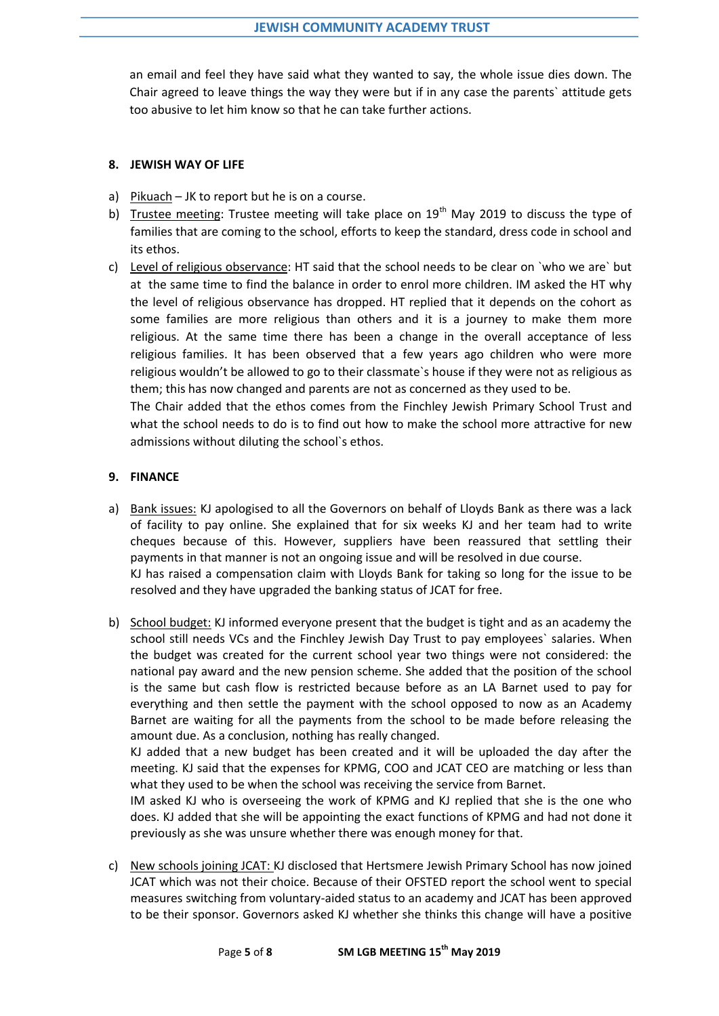an email and feel they have said what they wanted to say, the whole issue dies down. The Chair agreed to leave things the way they were but if in any case the parents` attitude gets too abusive to let him know so that he can take further actions.

#### **8. JEWISH WAY OF LIFE**

- a) Pikuach JK to report but he is on a course.
- b) Trustee meeting: Trustee meeting will take place on  $19<sup>th</sup>$  May 2019 to discuss the type of families that are coming to the school, efforts to keep the standard, dress code in school and its ethos.
- c) Level of religious observance: HT said that the school needs to be clear on `who we are` but at the same time to find the balance in order to enrol more children. IM asked the HT why the level of religious observance has dropped. HT replied that it depends on the cohort as some families are more religious than others and it is a journey to make them more religious. At the same time there has been a change in the overall acceptance of less religious families. It has been observed that a few years ago children who were more religious wouldn't be allowed to go to their classmate`s house if they were not as religious as them; this has now changed and parents are not as concerned as they used to be.

The Chair added that the ethos comes from the Finchley Jewish Primary School Trust and what the school needs to do is to find out how to make the school more attractive for new admissions without diluting the school`s ethos.

# **9. FINANCE**

- a) Bank issues: KJ apologised to all the Governors on behalf of Lloyds Bank as there was a lack of facility to pay online. She explained that for six weeks KJ and her team had to write cheques because of this. However, suppliers have been reassured that settling their payments in that manner is not an ongoing issue and will be resolved in due course. KJ has raised a compensation claim with Lloyds Bank for taking so long for the issue to be resolved and they have upgraded the banking status of JCAT for free.
- b) School budget: KJ informed everyone present that the budget is tight and as an academy the school still needs VCs and the Finchley Jewish Day Trust to pay employees` salaries. When the budget was created for the current school year two things were not considered: the national pay award and the new pension scheme. She added that the position of the school is the same but cash flow is restricted because before as an LA Barnet used to pay for everything and then settle the payment with the school opposed to now as an Academy Barnet are waiting for all the payments from the school to be made before releasing the amount due. As a conclusion, nothing has really changed.

KJ added that a new budget has been created and it will be uploaded the day after the meeting. KJ said that the expenses for KPMG, COO and JCAT CEO are matching or less than what they used to be when the school was receiving the service from Barnet.

IM asked KJ who is overseeing the work of KPMG and KJ replied that she is the one who does. KJ added that she will be appointing the exact functions of KPMG and had not done it previously as she was unsure whether there was enough money for that.

c) New schools joining JCAT: KJ disclosed that Hertsmere Jewish Primary School has now joined JCAT which was not their choice. Because of their OFSTED report the school went to special measures switching from voluntary-aided status to an academy and JCAT has been approved to be their sponsor. Governors asked KJ whether she thinks this change will have a positive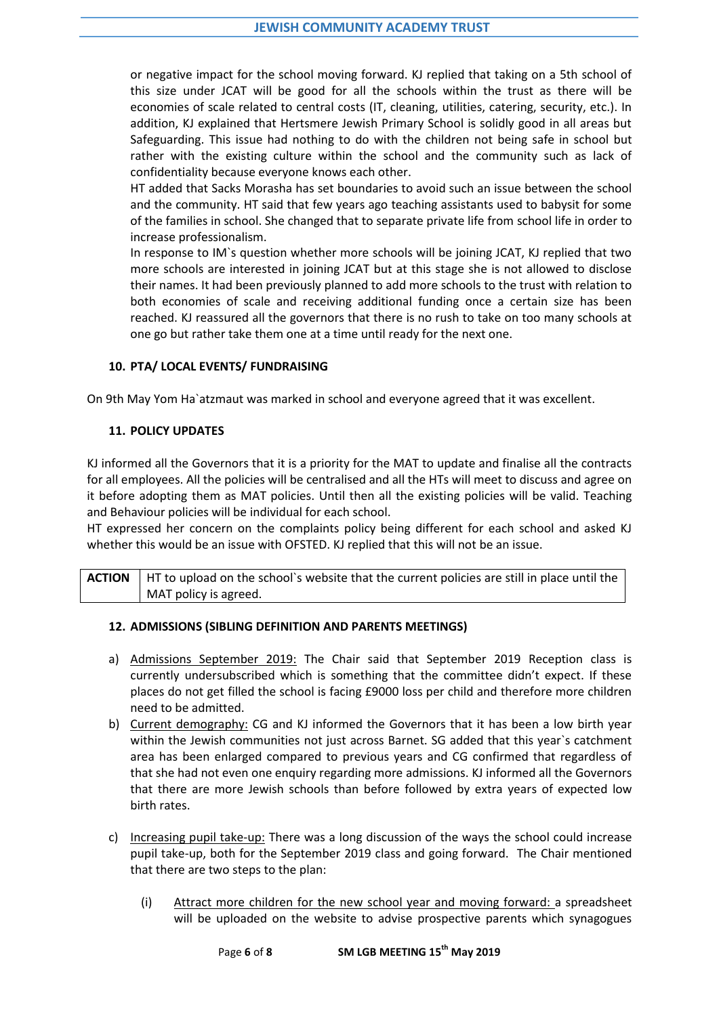or negative impact for the school moving forward. KJ replied that taking on a 5th school of this size under JCAT will be good for all the schools within the trust as there will be economies of scale related to central costs (IT, cleaning, utilities, catering, security, etc.). In addition, KJ explained that Hertsmere Jewish Primary School is solidly good in all areas but Safeguarding. This issue had nothing to do with the children not being safe in school but rather with the existing culture within the school and the community such as lack of confidentiality because everyone knows each other.

HT added that Sacks Morasha has set boundaries to avoid such an issue between the school and the community. HT said that few years ago teaching assistants used to babysit for some of the families in school. She changed that to separate private life from school life in order to increase professionalism.

In response to IM`s question whether more schools will be joining JCAT, KJ replied that two more schools are interested in joining JCAT but at this stage she is not allowed to disclose their names. It had been previously planned to add more schools to the trust with relation to both economies of scale and receiving additional funding once a certain size has been reached. KJ reassured all the governors that there is no rush to take on too many schools at one go but rather take them one at a time until ready for the next one.

## **10. PTA/ LOCAL EVENTS/ FUNDRAISING**

On 9th May Yom Ha`atzmaut was marked in school and everyone agreed that it was excellent.

## **11. POLICY UPDATES**

KJ informed all the Governors that it is a priority for the MAT to update and finalise all the contracts for all employees. All the policies will be centralised and all the HTs will meet to discuss and agree on it before adopting them as MAT policies. Until then all the existing policies will be valid. Teaching and Behaviour policies will be individual for each school.

HT expressed her concern on the complaints policy being different for each school and asked KJ whether this would be an issue with OFSTED. KJ replied that this will not be an issue.

**ACTION** | HT to upload on the school's website that the current policies are still in place until the MAT policy is agreed.

#### **12. ADMISSIONS (SIBLING DEFINITION AND PARENTS MEETINGS)**

- a) Admissions September 2019: The Chair said that September 2019 Reception class is currently undersubscribed which is something that the committee didn't expect. If these places do not get filled the school is facing £9000 loss per child and therefore more children need to be admitted.
- b) Current demography: CG and KJ informed the Governors that it has been a low birth year within the Jewish communities not just across Barnet. SG added that this year`s catchment area has been enlarged compared to previous years and CG confirmed that regardless of that she had not even one enquiry regarding more admissions. KJ informed all the Governors that there are more Jewish schools than before followed by extra years of expected low birth rates.
- c) Increasing pupil take-up: There was a long discussion of the ways the school could increase pupil take-up, both for the September 2019 class and going forward. The Chair mentioned that there are two steps to the plan:
	- (i) Attract more children for the new school year and moving forward: a spreadsheet will be uploaded on the website to advise prospective parents which synagogues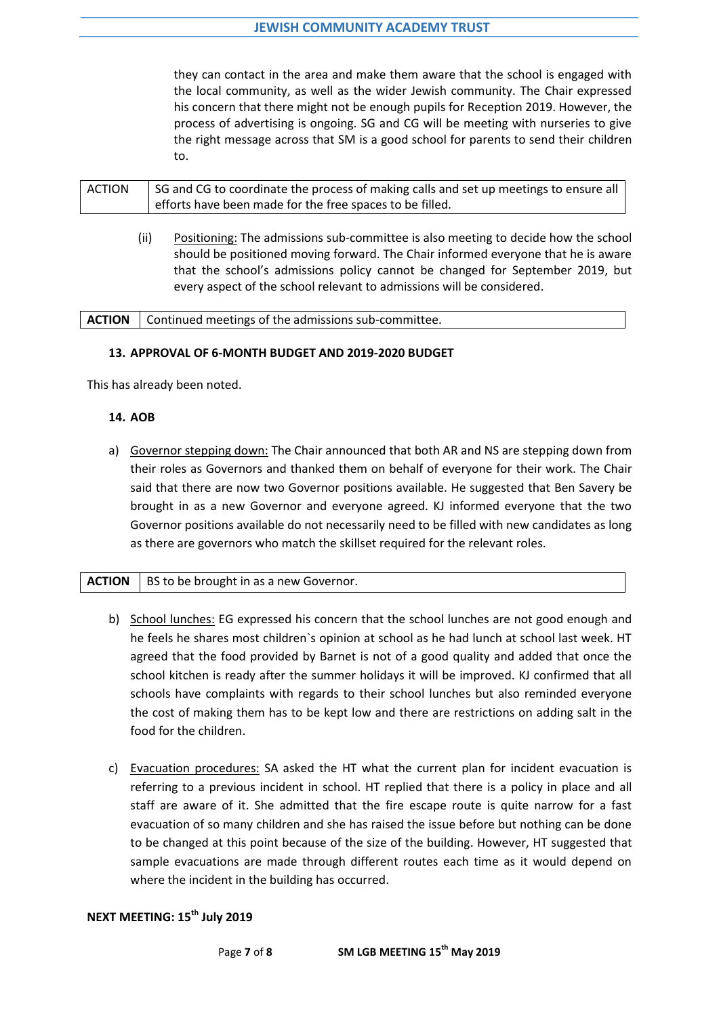they can contact in the area and make them aware that the school is engaged with the local community, as well as the wider Jewish community. The Chair expressed his concern that there might not be enough pupils for Reception 2019. However, the process of advertising is ongoing. SG and CG will be meeting with nurseries to give the right message across that SM is a good school for parents to send their children to.

| <b>ACTION</b> | SG and CG to coordinate the process of making calls and set up meetings to ensure all |
|---------------|---------------------------------------------------------------------------------------|
|               | efforts have been made for the free spaces to be filled.                              |

(ii) Positioning: The admissions sub-committee is also meeting to decide how the school should be positioned moving forward. The Chair informed everyone that he is aware that the school's admissions policy cannot be changed for September 2019, but every aspect of the school relevant to admissions will be considered.

| <b>ACTION</b>   Continued meetings of the admissions sub-committee. |
|---------------------------------------------------------------------|
|---------------------------------------------------------------------|

# **13. APPROVAL OF 6-MONTH BUDGET AND 2019-2020 BUDGET**

This has already been noted.

## **14. AOB**

a) Governor stepping down: The Chair announced that both AR and NS are stepping down from their roles as Governors and thanked them on behalf of everyone for their work. The Chair said that there are now two Governor positions available. He suggested that Ben Savery be brought in as a new Governor and everyone agreed. KJ informed everyone that the two Governor positions available do not necessarily need to be filled with new candidates as long as there are governors who match the skillset required for the relevant roles.

# **ACTION**  $\vert$  BS to be brought in as a new Governor.

- b) School lunches: EG expressed his concern that the school lunches are not good enough and he feels he shares most children`s opinion at school as he had lunch at school last week. HT agreed that the food provided by Barnet is not of a good quality and added that once the school kitchen is ready after the summer holidays it will be improved. KJ confirmed that all schools have complaints with regards to their school lunches but also reminded everyone the cost of making them has to be kept low and there are restrictions on adding salt in the food for the children.
- c) Evacuation procedures: SA asked the HT what the current plan for incident evacuation is referring to a previous incident in school. HT replied that there is a policy in place and all staff are aware of it. She admitted that the fire escape route is quite narrow for a fast evacuation of so many children and she has raised the issue before but nothing can be done to be changed at this point because of the size of the building. However, HT suggested that sample evacuations are made through different routes each time as it would depend on where the incident in the building has occurred.

# **NEXT MEETING: 15th July 2019**